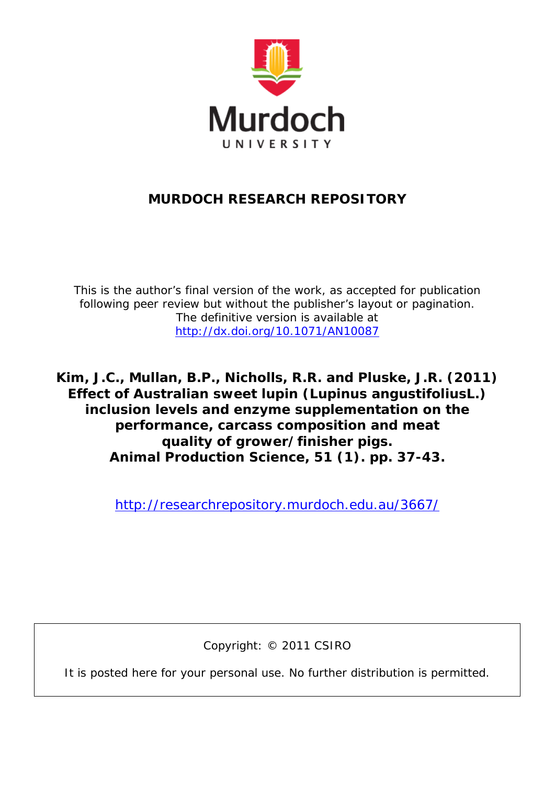

# **MURDOCH RESEARCH REPOSITORY**

*This is the author's final version of the work, as accepted for publication following peer review but without the publisher's layout or pagination. The definitive version is available at <http://dx.doi.org/10.1071/AN10087>*

**Kim, J.C., Mullan, B.P., Nicholls, R.R. and Pluske, J.R. (2011)**  *Effect of Australian sweet lupin (Lupinus angustifoliusL.) inclusion levels and enzyme supplementation on the performance, carcass composition and meat quality of grower/finisher pigs.* **Animal Production Science, 51 (1). pp. 37-43.**

<http://researchrepository.murdoch.edu.au/3667/>

Copyright: © 2011 CSIRO

It is posted here for your personal use. No further distribution is permitted.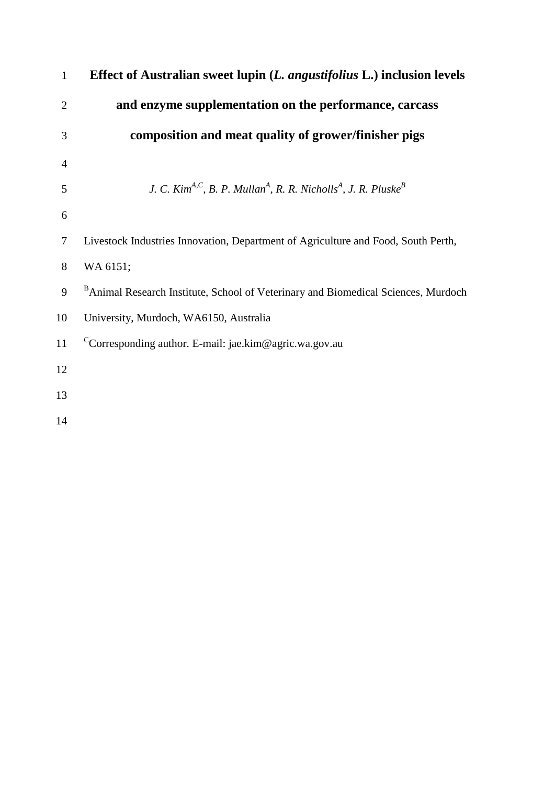| $\mathbf{1}$   | Effect of Australian sweet lupin (L. angustifolius L.) inclusion levels                                        |
|----------------|----------------------------------------------------------------------------------------------------------------|
| $\overline{2}$ | and enzyme supplementation on the performance, carcass                                                         |
| 3              | composition and meat quality of grower/finisher pigs                                                           |
| $\overline{4}$ |                                                                                                                |
| 5              | J. C. Kim <sup>A,C</sup> , B. P. Mullan <sup>A</sup> , R. R. Nicholls <sup>A</sup> , J. R. Pluske <sup>B</sup> |
| 6              |                                                                                                                |
| $\tau$         | Livestock Industries Innovation, Department of Agriculture and Food, South Perth,                              |
| 8              | WA 6151;                                                                                                       |
| 9              | <sup>B</sup> Animal Research Institute, School of Veterinary and Biomedical Sciences, Murdoch                  |
| 10             | University, Murdoch, WA6150, Australia                                                                         |
| 11             | <sup>C</sup> Corresponding author. E-mail: jae.kim@agric.wa.gov.au                                             |
| 12             |                                                                                                                |
| 13             |                                                                                                                |
| 14             |                                                                                                                |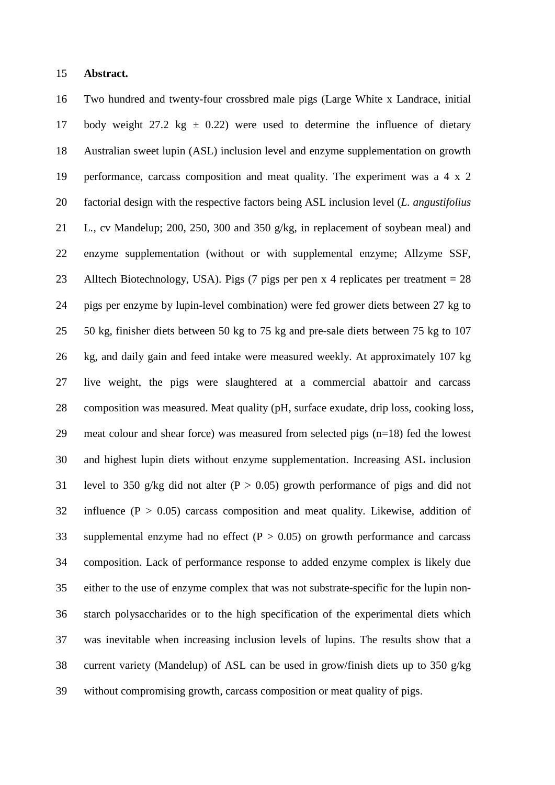### **Abstract.**

 Two hundred and twenty-four crossbred male pigs (Large White x Landrace, initial 17 body weight 27.2 kg  $\pm$  0.22) were used to determine the influence of dietary Australian sweet lupin (ASL) inclusion level and enzyme supplementation on growth performance, carcass composition and meat quality. The experiment was a 4 x 2 factorial design with the respective factors being ASL inclusion level (*L. angustifolius*  L*.,* cv Mandelup; 200, 250, 300 and 350 g/kg, in replacement of soybean meal) and enzyme supplementation (without or with supplemental enzyme; Allzyme SSF, Alltech Biotechnology, USA). Pigs (7 pigs per pen x 4 replicates per treatment = 28 pigs per enzyme by lupin-level combination) were fed grower diets between 27 kg to 50 kg, finisher diets between 50 kg to 75 kg and pre-sale diets between 75 kg to 107 kg, and daily gain and feed intake were measured weekly. At approximately 107 kg live weight, the pigs were slaughtered at a commercial abattoir and carcass composition was measured. Meat quality (pH, surface exudate, drip loss, cooking loss, meat colour and shear force) was measured from selected pigs (n=18) fed the lowest and highest lupin diets without enzyme supplementation. Increasing ASL inclusion 31 level to 350 g/kg did not alter  $(P > 0.05)$  growth performance of pigs and did not 32 influence  $(P > 0.05)$  carcass composition and meat quality. Likewise, addition of 33 supplemental enzyme had no effect  $(P > 0.05)$  on growth performance and carcass composition. Lack of performance response to added enzyme complex is likely due either to the use of enzyme complex that was not substrate-specific for the lupin non- starch polysaccharides or to the high specification of the experimental diets which was inevitable when increasing inclusion levels of lupins. The results show that a current variety (Mandelup) of ASL can be used in grow/finish diets up to 350 g/kg without compromising growth, carcass composition or meat quality of pigs.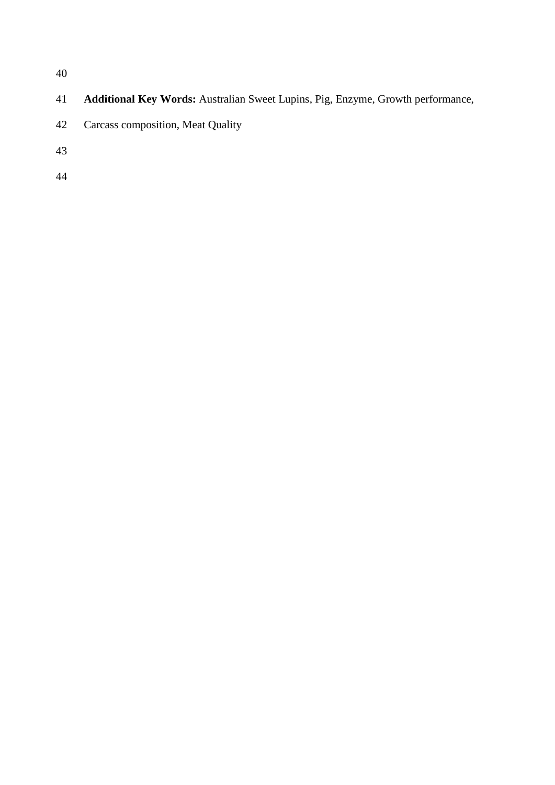- **Additional Key Words:** Australian Sweet Lupins, Pig, Enzyme, Growth performance,
- Carcass composition, Meat Quality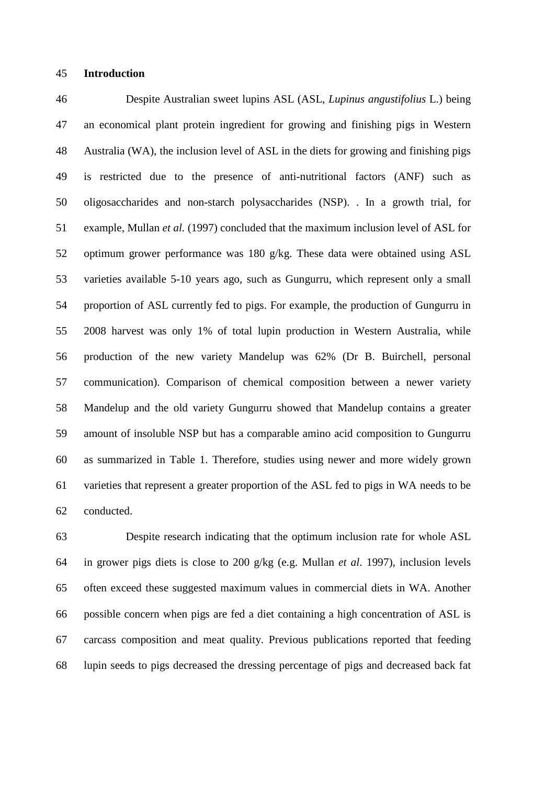## **Introduction**

 Despite Australian sweet lupins ASL (ASL, *Lupinus angustifolius* L.) being an economical plant protein ingredient for growing and finishing pigs in Western Australia (WA), the inclusion level of ASL in the diets for growing and finishing pigs is restricted due to the presence of anti-nutritional factors (ANF) such as oligosaccharides and non-starch polysaccharides (NSP). . In a growth trial, for example, Mullan *et al.* (1997) concluded that the maximum inclusion level of ASL for optimum grower performance was 180 g/kg. These data were obtained using ASL varieties available 5-10 years ago, such as Gungurru, which represent only a small proportion of ASL currently fed to pigs. For example, the production of Gungurru in 2008 harvest was only 1% of total lupin production in Western Australia, while production of the new variety Mandelup was 62% (Dr B. Buirchell, personal communication). Comparison of chemical composition between a newer variety Mandelup and the old variety Gungurru showed that Mandelup contains a greater amount of insoluble NSP but has a comparable amino acid composition to Gungurru as summarized in Table 1. Therefore, studies using newer and more widely grown varieties that represent a greater proportion of the ASL fed to pigs in WA needs to be conducted.

 Despite research indicating that the optimum inclusion rate for whole ASL in grower pigs diets is close to 200 g/kg (e.g. Mullan *et al*. 1997), inclusion levels often exceed these suggested maximum values in commercial diets in WA. Another possible concern when pigs are fed a diet containing a high concentration of ASL is carcass composition and meat quality. Previous publications reported that feeding lupin seeds to pigs decreased the dressing percentage of pigs and decreased back fat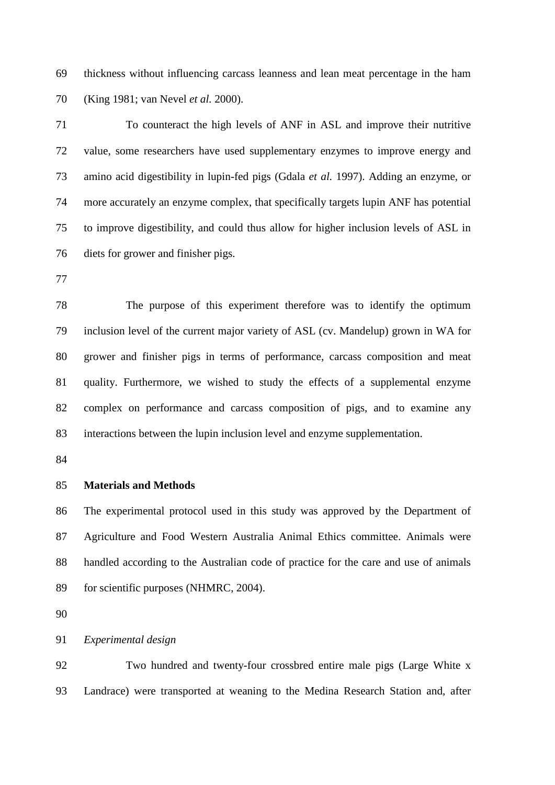thickness without influencing carcass leanness and lean meat percentage in the ham (King 1981; van Nevel *et al.* 2000).

 To counteract the high levels of ANF in ASL and improve their nutritive value, some researchers have used supplementary enzymes to improve energy and amino acid digestibility in lupin-fed pigs (Gdala *et al.* 1997). Adding an enzyme, or more accurately an enzyme complex, that specifically targets lupin ANF has potential to improve digestibility, and could thus allow for higher inclusion levels of ASL in diets for grower and finisher pigs.

 The purpose of this experiment therefore was to identify the optimum inclusion level of the current major variety of ASL (cv. Mandelup) grown in WA for grower and finisher pigs in terms of performance, carcass composition and meat quality. Furthermore, we wished to study the effects of a supplemental enzyme complex on performance and carcass composition of pigs, and to examine any interactions between the lupin inclusion level and enzyme supplementation.

# **Materials and Methods**

 The experimental protocol used in this study was approved by the Department of Agriculture and Food Western Australia Animal Ethics committee. Animals were handled according to the Australian code of practice for the care and use of animals for scientific purposes (NHMRC, 2004).

*Experimental design*

 Two hundred and twenty-four crossbred entire male pigs (Large White x Landrace) were transported at weaning to the Medina Research Station and, after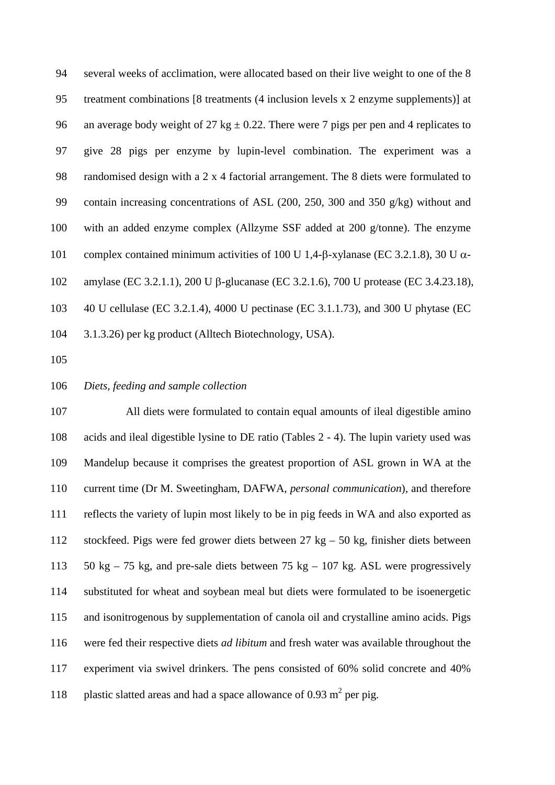several weeks of acclimation, were allocated based on their live weight to one of the 8 treatment combinations [8 treatments (4 inclusion levels x 2 enzyme supplements)] at 96 an average body weight of 27 kg  $\pm$  0.22. There were 7 pigs per pen and 4 replicates to give 28 pigs per enzyme by lupin-level combination. The experiment was a randomised design with a 2 x 4 factorial arrangement. The 8 diets were formulated to contain increasing concentrations of ASL (200, 250, 300 and 350 g/kg) without and with an added enzyme complex (Allzyme SSF added at 200 g/tonne). The enzyme 101 complex contained minimum activities of 100 U 1.4-β-xylanase (EC 3.2.1.8), 30 U  $\alpha$ - amylase (EC 3.2.1.1), 200 U β-glucanase (EC 3.2.1.6), 700 U protease (EC 3.4.23.18), 40 U cellulase (EC 3.2.1.4), 4000 U pectinase (EC 3.1.1.73), and 300 U phytase (EC 3.1.3.26) per kg product (Alltech Biotechnology, USA).

#### *Diets, feeding and sample collection*

 All diets were formulated to contain equal amounts of ileal digestible amino acids and ileal digestible lysine to DE ratio (Tables 2 - 4). The lupin variety used was Mandelup because it comprises the greatest proportion of ASL grown in WA at the current time (Dr M. Sweetingham, DAFWA, *personal communication*), and therefore reflects the variety of lupin most likely to be in pig feeds in WA and also exported as stockfeed. Pigs were fed grower diets between 27 kg – 50 kg, finisher diets between 50 kg – 75 kg, and pre-sale diets between 75 kg – 107 kg. ASL were progressively substituted for wheat and soybean meal but diets were formulated to be isoenergetic and isonitrogenous by supplementation of canola oil and crystalline amino acids. Pigs were fed their respective diets *ad libitum* and fresh water was available throughout the experiment via swivel drinkers. The pens consisted of 60% solid concrete and 40% 118 plastic slatted areas and had a space allowance of 0.93  $m^2$  per pig.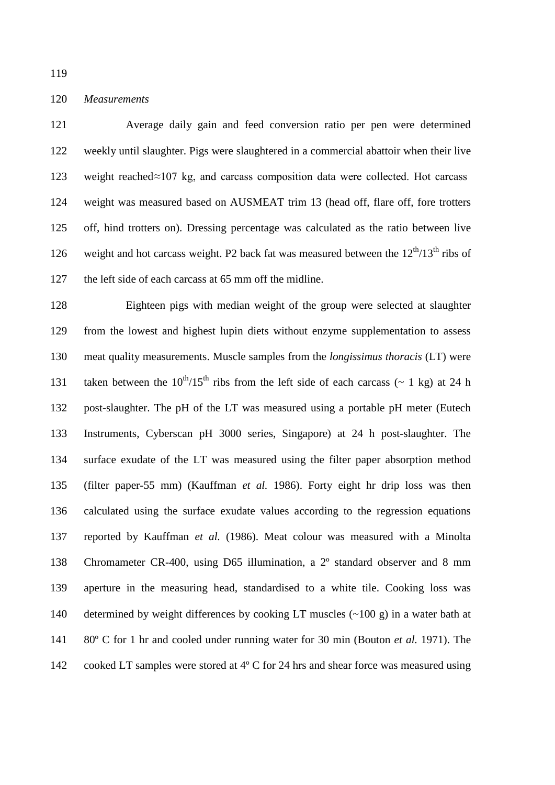*Measurements*

 Average daily gain and feed conversion ratio per pen were determined weekly until slaughter. Pigs were slaughtered in a commercial abattoir when their live 123 weight reached $\approx$ 107 kg, and carcass composition data were collected. Hot carcass weight was measured based on AUSMEAT trim 13 (head off, flare off, fore trotters off, hind trotters on). Dressing percentage was calculated as the ratio between live 126 weight and hot carcass weight. P2 back fat was measured between the  $12^{th}/13^{th}$  ribs of the left side of each carcass at 65 mm off the midline.

 Eighteen pigs with median weight of the group were selected at slaughter from the lowest and highest lupin diets without enzyme supplementation to assess meat quality measurements. Muscle samples from the *longissimus thoracis* (LT) were 131 taken between the  $10^{th}/15^{th}$  ribs from the left side of each carcass ( $\sim 1$  kg) at 24 h post-slaughter. The pH of the LT was measured using a portable pH meter (Eutech Instruments, Cyberscan pH 3000 series, Singapore) at 24 h post-slaughter. The surface exudate of the LT was measured using the filter paper absorption method (filter paper-55 mm) (Kauffman *et al.* 1986). Forty eight hr drip loss was then calculated using the surface exudate values according to the regression equations reported by Kauffman *et al.* (1986). Meat colour was measured with a Minolta Chromameter CR-400, using D65 illumination, a 2º standard observer and 8 mm aperture in the measuring head, standardised to a white tile. Cooking loss was determined by weight differences by cooking LT muscles (~100 g) in a water bath at 80º C for 1 hr and cooled under running water for 30 min (Bouton *et al.* 1971). The cooked LT samples were stored at 4º C for 24 hrs and shear force was measured using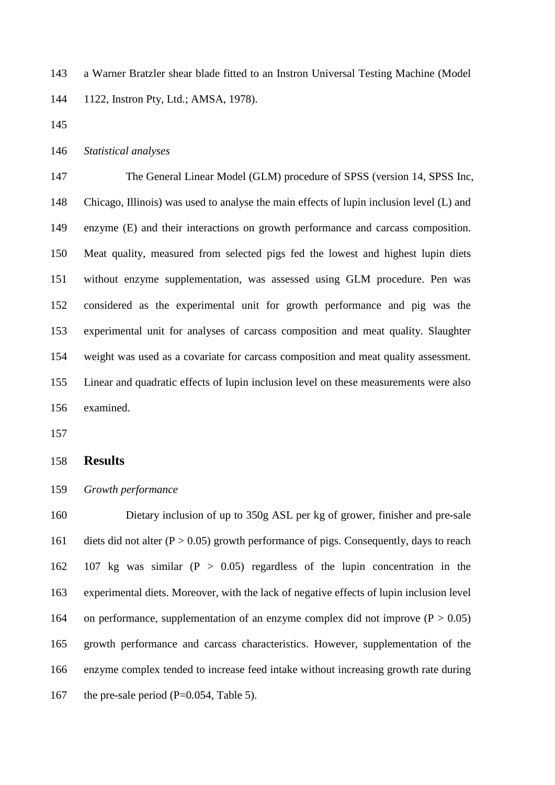a Warner Bratzler shear blade fitted to an Instron Universal Testing Machine (Model 1122, Instron Pty, Ltd.; AMSA, 1978).

# *Statistical analyses*

 The General Linear Model (GLM) procedure of SPSS (version 14, SPSS Inc, Chicago, Illinois) was used to analyse the main effects of lupin inclusion level (L) and enzyme (E) and their interactions on growth performance and carcass composition. Meat quality, measured from selected pigs fed the lowest and highest lupin diets without enzyme supplementation, was assessed using GLM procedure. Pen was considered as the experimental unit for growth performance and pig was the experimental unit for analyses of carcass composition and meat quality. Slaughter weight was used as a covariate for carcass composition and meat quality assessment. Linear and quadratic effects of lupin inclusion level on these measurements were also examined.

#### **Results**

*Growth performance*

 Dietary inclusion of up to 350g ASL per kg of grower, finisher and pre-sale 161 diets did not alter  $(P > 0.05)$  growth performance of pigs. Consequently, days to reach 162 107 kg was similar  $(P > 0.05)$  regardless of the lupin concentration in the experimental diets. Moreover, with the lack of negative effects of lupin inclusion level 164 on performance, supplementation of an enzyme complex did not improve  $(P > 0.05)$  growth performance and carcass characteristics. However, supplementation of the enzyme complex tended to increase feed intake without increasing growth rate during 167 the pre-sale period  $(P=0.054, Table 5)$ .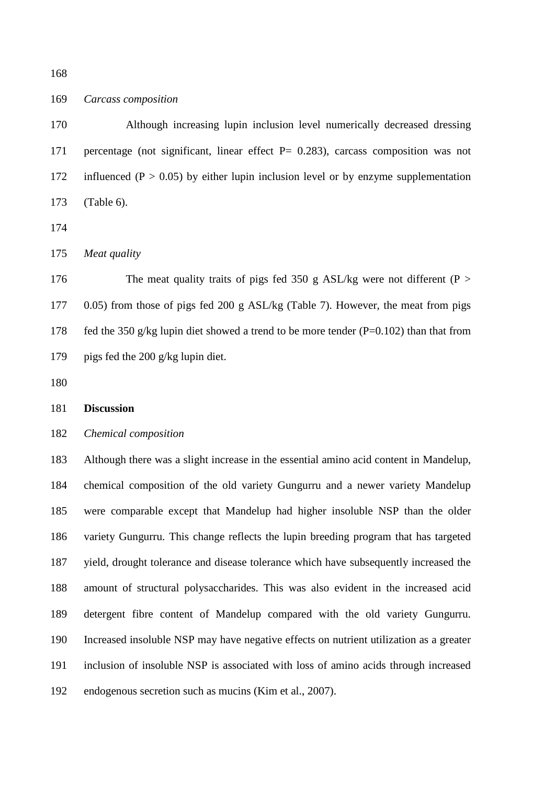# *Carcass composition*

 Although increasing lupin inclusion level numerically decreased dressing percentage (not significant, linear effect P= 0.283), carcass composition was not 172 influenced ( $P > 0.05$ ) by either lupin inclusion level or by enzyme supplementation (Table 6).

*Meat quality*

176 The meat quality traits of pigs fed 350 g ASL/kg were not different (P > 0.05) from those of pigs fed 200 g ASL/kg (Table 7). However, the meat from pigs fed the 350 g/kg lupin diet showed a trend to be more tender (P=0.102) than that from pigs fed the 200 g/kg lupin diet.

# **Discussion**

# *Chemical composition*

 Although there was a slight increase in the essential amino acid content in Mandelup, chemical composition of the old variety Gungurru and a newer variety Mandelup were comparable except that Mandelup had higher insoluble NSP than the older variety Gungurru. This change reflects the lupin breeding program that has targeted yield, drought tolerance and disease tolerance which have subsequently increased the amount of structural polysaccharides. This was also evident in the increased acid detergent fibre content of Mandelup compared with the old variety Gungurru. Increased insoluble NSP may have negative effects on nutrient utilization as a greater inclusion of insoluble NSP is associated with loss of amino acids through increased endogenous secretion such as mucins (Kim et al., 2007).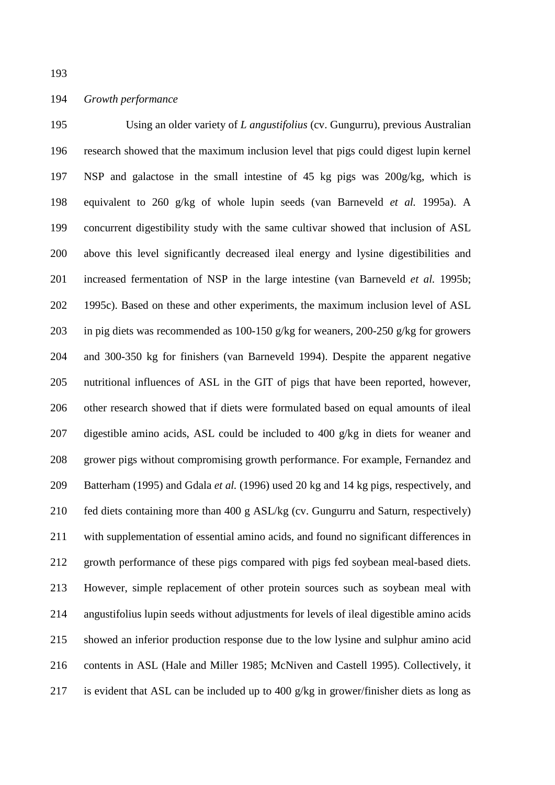# *Growth performance*

 Using an older variety of *L angustifolius* (cv. Gungurru), previous Australian research showed that the maximum inclusion level that pigs could digest lupin kernel NSP and galactose in the small intestine of 45 kg pigs was 200g/kg, which is equivalent to 260 g/kg of whole lupin seeds (van Barneveld *et al.* 1995a). A concurrent digestibility study with the same cultivar showed that inclusion of ASL above this level significantly decreased ileal energy and lysine digestibilities and increased fermentation of NSP in the large intestine (van Barneveld *et al.* 1995b; 1995c). Based on these and other experiments, the maximum inclusion level of ASL in pig diets was recommended as 100-150 g/kg for weaners, 200-250 g/kg for growers and 300-350 kg for finishers (van Barneveld 1994). Despite the apparent negative nutritional influences of ASL in the GIT of pigs that have been reported, however, other research showed that if diets were formulated based on equal amounts of ileal digestible amino acids, ASL could be included to 400 g/kg in diets for weaner and grower pigs without compromising growth performance. For example, Fernandez and Batterham (1995) and Gdala *et al.* (1996) used 20 kg and 14 kg pigs, respectively, and fed diets containing more than 400 g ASL/kg (cv. Gungurru and Saturn, respectively) with supplementation of essential amino acids, and found no significant differences in growth performance of these pigs compared with pigs fed soybean meal-based diets. However, simple replacement of other protein sources such as soybean meal with angustifolius lupin seeds without adjustments for levels of ileal digestible amino acids showed an inferior production response due to the low lysine and sulphur amino acid contents in ASL (Hale and Miller 1985; McNiven and Castell 1995). Collectively, it is evident that ASL can be included up to 400 g/kg in grower/finisher diets as long as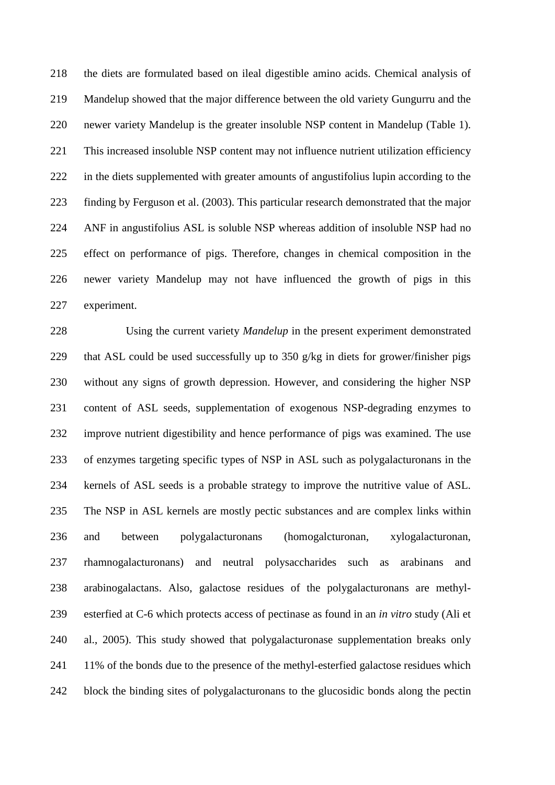the diets are formulated based on ileal digestible amino acids. Chemical analysis of Mandelup showed that the major difference between the old variety Gungurru and the newer variety Mandelup is the greater insoluble NSP content in Mandelup (Table 1). This increased insoluble NSP content may not influence nutrient utilization efficiency in the diets supplemented with greater amounts of angustifolius lupin according to the finding by Ferguson et al. (2003). This particular research demonstrated that the major ANF in angustifolius ASL is soluble NSP whereas addition of insoluble NSP had no effect on performance of pigs. Therefore, changes in chemical composition in the newer variety Mandelup may not have influenced the growth of pigs in this experiment.

 Using the current variety *Mandelup* in the present experiment demonstrated that ASL could be used successfully up to 350 g/kg in diets for grower/finisher pigs without any signs of growth depression. However, and considering the higher NSP content of ASL seeds, supplementation of exogenous NSP-degrading enzymes to improve nutrient digestibility and hence performance of pigs was examined. The use of enzymes targeting specific types of NSP in ASL such as polygalacturonans in the kernels of ASL seeds is a probable strategy to improve the nutritive value of ASL. The NSP in ASL kernels are mostly pectic substances and are complex links within and between polygalacturonans (homogalcturonan, xylogalacturonan, rhamnogalacturonans) and neutral polysaccharides such as arabinans and arabinogalactans. Also, galactose residues of the polygalacturonans are methyl- esterfied at C-6 which protects access of pectinase as found in an *in vitro* study (Ali et al., 2005). This study showed that polygalacturonase supplementation breaks only 11% of the bonds due to the presence of the methyl-esterfied galactose residues which block the binding sites of polygalacturonans to the glucosidic bonds along the pectin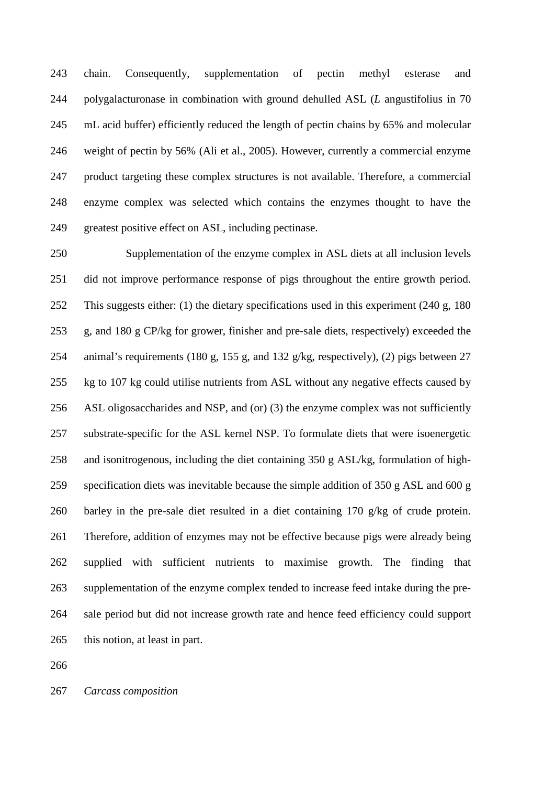chain. Consequently, supplementation of pectin methyl esterase and polygalacturonase in combination with ground dehulled ASL (*L* angustifolius in 70 mL acid buffer) efficiently reduced the length of pectin chains by 65% and molecular weight of pectin by 56% (Ali et al., 2005). However, currently a commercial enzyme product targeting these complex structures is not available. Therefore, a commercial enzyme complex was selected which contains the enzymes thought to have the greatest positive effect on ASL, including pectinase.

 Supplementation of the enzyme complex in ASL diets at all inclusion levels did not improve performance response of pigs throughout the entire growth period. This suggests either: (1) the dietary specifications used in this experiment (240 g, 180 g, and 180 g CP/kg for grower, finisher and pre-sale diets, respectively) exceeded the animal's requirements (180 g, 155 g, and 132 g/kg, respectively), (2) pigs between 27 kg to 107 kg could utilise nutrients from ASL without any negative effects caused by ASL oligosaccharides and NSP, and (or) (3) the enzyme complex was not sufficiently substrate-specific for the ASL kernel NSP. To formulate diets that were isoenergetic and isonitrogenous, including the diet containing 350 g ASL/kg, formulation of high- specification diets was inevitable because the simple addition of 350 g ASL and 600 g barley in the pre-sale diet resulted in a diet containing 170 g/kg of crude protein. Therefore, addition of enzymes may not be effective because pigs were already being supplied with sufficient nutrients to maximise growth. The finding that supplementation of the enzyme complex tended to increase feed intake during the pre- sale period but did not increase growth rate and hence feed efficiency could support this notion, at least in part.

*Carcass composition*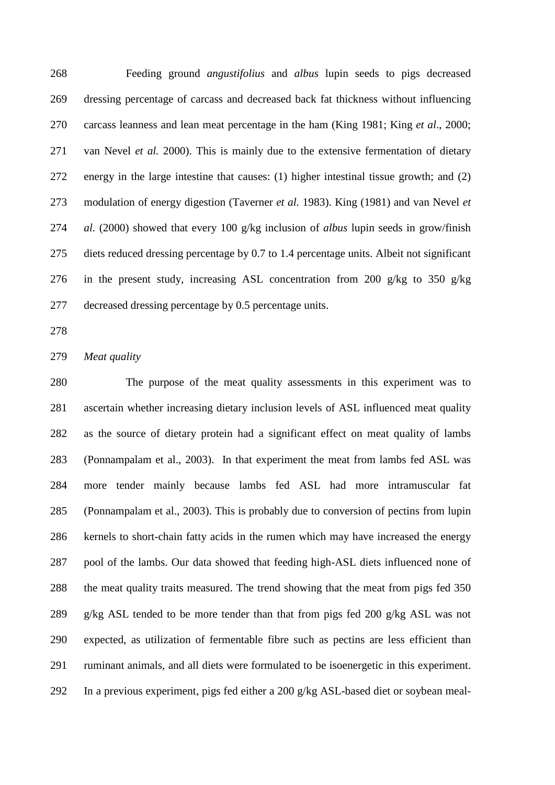Feeding ground *angustifolius* and *albus* lupin seeds to pigs decreased dressing percentage of carcass and decreased back fat thickness without influencing carcass leanness and lean meat percentage in the ham (King 1981; King *et al*., 2000; van Nevel *et al.* 2000). This is mainly due to the extensive fermentation of dietary energy in the large intestine that causes: (1) higher intestinal tissue growth; and (2) modulation of energy digestion (Taverner *et al.* 1983). King (1981) and van Nevel *et al.* (2000) showed that every 100 g/kg inclusion of *albus* lupin seeds in grow/finish diets reduced dressing percentage by 0.7 to 1.4 percentage units. Albeit not significant in the present study, increasing ASL concentration from 200 g/kg to 350 g/kg decreased dressing percentage by 0.5 percentage units.

#### *Meat quality*

 The purpose of the meat quality assessments in this experiment was to ascertain whether increasing dietary inclusion levels of ASL influenced meat quality as the source of dietary protein had a significant effect on meat quality of lambs (Ponnampalam et al., 2003). In that experiment the meat from lambs fed ASL was more tender mainly because lambs fed ASL had more intramuscular fat (Ponnampalam et al., 2003). This is probably due to conversion of pectins from lupin kernels to short-chain fatty acids in the rumen which may have increased the energy pool of the lambs. Our data showed that feeding high-ASL diets influenced none of the meat quality traits measured. The trend showing that the meat from pigs fed 350 g/kg ASL tended to be more tender than that from pigs fed 200 g/kg ASL was not expected, as utilization of fermentable fibre such as pectins are less efficient than ruminant animals, and all diets were formulated to be isoenergetic in this experiment. In a previous experiment, pigs fed either a 200 g/kg ASL-based diet or soybean meal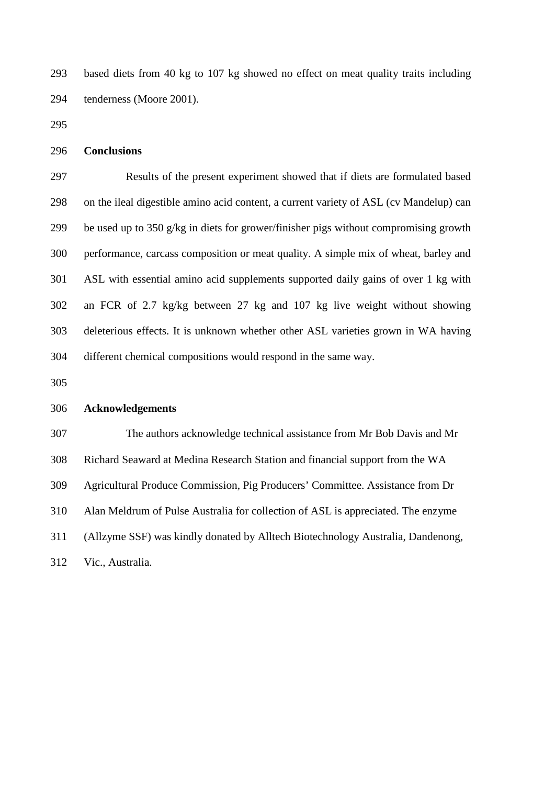based diets from 40 kg to 107 kg showed no effect on meat quality traits including tenderness (Moore 2001).

```
296 Conclusions
```
 Results of the present experiment showed that if diets are formulated based on the ileal digestible amino acid content, a current variety of ASL (cv Mandelup) can be used up to 350 g/kg in diets for grower/finisher pigs without compromising growth performance, carcass composition or meat quality. A simple mix of wheat, barley and ASL with essential amino acid supplements supported daily gains of over 1 kg with an FCR of 2.7 kg/kg between 27 kg and 107 kg live weight without showing deleterious effects. It is unknown whether other ASL varieties grown in WA having different chemical compositions would respond in the same way.

#### **Acknowledgements**

 The authors acknowledge technical assistance from Mr Bob Davis and Mr Richard Seaward at Medina Research Station and financial support from the WA Agricultural Produce Commission, Pig Producers' Committee. Assistance from Dr Alan Meldrum of Pulse Australia for collection of ASL is appreciated. The enzyme (Allzyme SSF) was kindly donated by Alltech Biotechnology Australia, Dandenong, Vic., Australia.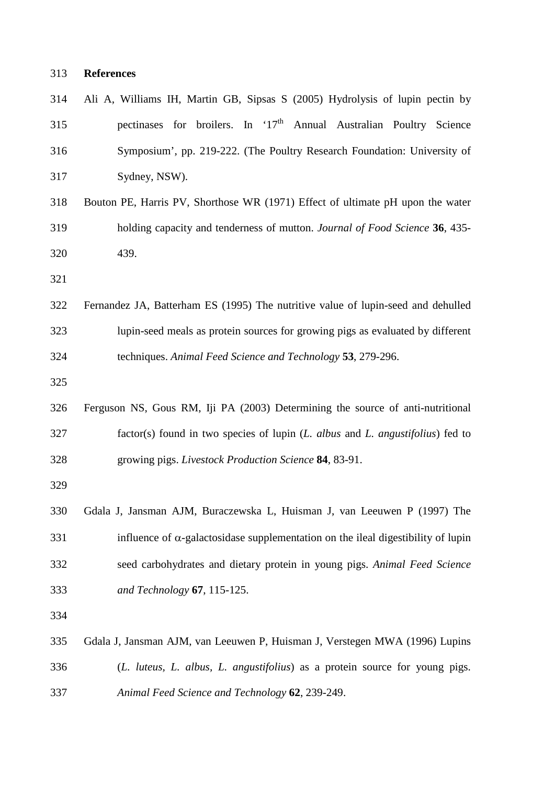# **References**

| 314 | Ali A, Williams IH, Martin GB, Sipsas S (2005) Hydrolysis of lupin pectin by             |
|-----|------------------------------------------------------------------------------------------|
| 315 | pectinases for broilers. In '17 <sup>th</sup> Annual Australian Poultry Science          |
| 316 | Symposium', pp. 219-222. (The Poultry Research Foundation: University of                 |
| 317 | Sydney, NSW).                                                                            |
| 318 | Bouton PE, Harris PV, Shorthose WR (1971) Effect of ultimate pH upon the water           |
| 319 | holding capacity and tenderness of mutton. Journal of Food Science 36, 435-              |
| 320 | 439.                                                                                     |
| 321 |                                                                                          |
| 322 | Fernandez JA, Batterham ES (1995) The nutritive value of lupin-seed and dehulled         |
| 323 | lupin-seed meals as protein sources for growing pigs as evaluated by different           |
| 324 | techniques. Animal Feed Science and Technology 53, 279-296.                              |
| 325 |                                                                                          |
| 326 | Ferguson NS, Gous RM, Iji PA (2003) Determining the source of anti-nutritional           |
| 327 | factor(s) found in two species of lupin (L. albus and L. angustifolius) fed to           |
| 328 | growing pigs. Livestock Production Science 84, 83-91.                                    |
| 329 |                                                                                          |
| 330 | Gdala J, Jansman AJM, Buraczewska L, Huisman J, van Leeuwen P (1997) The                 |
| 331 | influence of $\alpha$ -galactosidase supplementation on the ileal digestibility of lupin |
| 332 | seed carbohydrates and dietary protein in young pigs. Animal Feed Science                |
| 333 | and Technology 67, 115-125.                                                              |
| 334 |                                                                                          |
| 335 | Gdala J, Jansman AJM, van Leeuwen P, Huisman J, Verstegen MWA (1996) Lupins              |
| 336 | (L. luteus, L. albus, L. angustifolius) as a protein source for young pigs.              |
| 337 | Animal Feed Science and Technology 62, 239-249.                                          |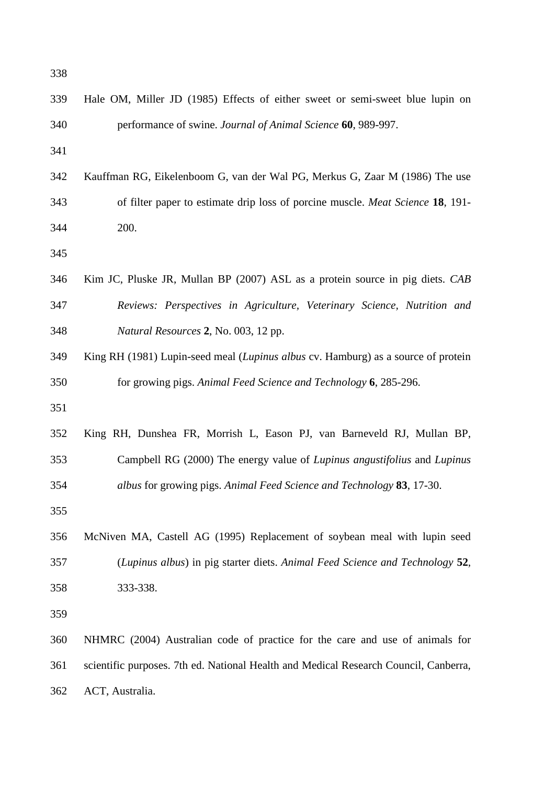| 338 |                                                                                      |
|-----|--------------------------------------------------------------------------------------|
| 339 | Hale OM, Miller JD (1985) Effects of either sweet or semi-sweet blue lupin on        |
| 340 | performance of swine. Journal of Animal Science 60, 989-997.                         |
| 341 |                                                                                      |
| 342 | Kauffman RG, Eikelenboom G, van der Wal PG, Merkus G, Zaar M (1986) The use          |
| 343 | of filter paper to estimate drip loss of porcine muscle. Meat Science 18, 191-       |
| 344 | 200.                                                                                 |
| 345 |                                                                                      |
| 346 | Kim JC, Pluske JR, Mullan BP (2007) ASL as a protein source in pig diets. CAB        |
| 347 | Reviews: Perspectives in Agriculture, Veterinary Science, Nutrition and              |
| 348 | Natural Resources 2, No. 003, 12 pp.                                                 |
| 349 | King RH (1981) Lupin-seed meal (Lupinus albus cv. Hamburg) as a source of protein    |
| 350 | for growing pigs. Animal Feed Science and Technology 6, 285-296.                     |
| 351 |                                                                                      |
| 352 | King RH, Dunshea FR, Morrish L, Eason PJ, van Barneveld RJ, Mullan BP,               |
| 353 | Campbell RG (2000) The energy value of Lupinus angustifolius and Lupinus             |
| 354 | albus for growing pigs. Animal Feed Science and Technology 83, 17-30.                |
| 355 |                                                                                      |
| 356 | McNiven MA, Castell AG (1995) Replacement of soybean meal with lupin seed            |
| 357 | (Lupinus albus) in pig starter diets. Animal Feed Science and Technology 52,         |
| 358 | 333-338.                                                                             |
| 359 |                                                                                      |
| 360 | NHMRC (2004) Australian code of practice for the care and use of animals for         |
| 361 | scientific purposes. 7th ed. National Health and Medical Research Council, Canberra, |
| 362 | ACT, Australia.                                                                      |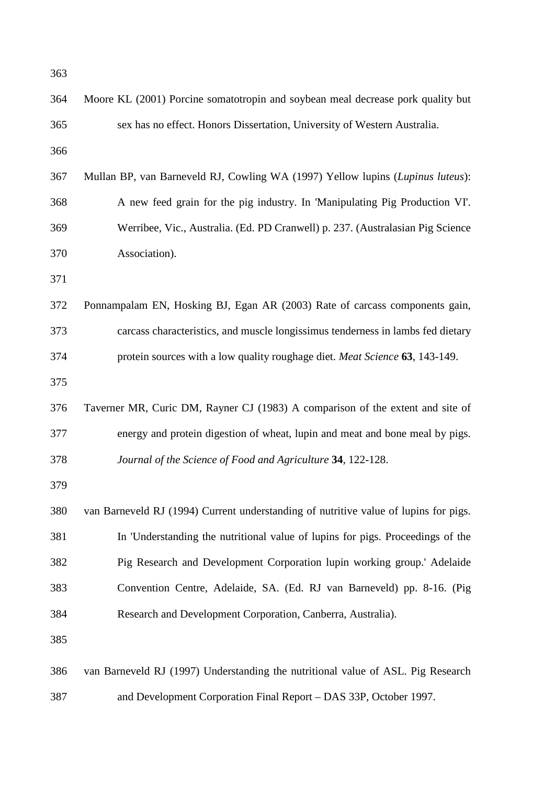| Moore KL (2001) Porcine somatotropin and soybean meal decrease pork quality but      |
|--------------------------------------------------------------------------------------|
| sex has no effect. Honors Dissertation, University of Western Australia.             |
|                                                                                      |
| Mullan BP, van Barneveld RJ, Cowling WA (1997) Yellow lupins (Lupinus luteus):       |
| A new feed grain for the pig industry. In 'Manipulating Pig Production VI'.          |
| Werribee, Vic., Australia. (Ed. PD Cranwell) p. 237. (Australasian Pig Science       |
| Association).                                                                        |
|                                                                                      |
| Ponnampalam EN, Hosking BJ, Egan AR (2003) Rate of carcass components gain,          |
| carcass characteristics, and muscle longissimus tenderness in lambs fed dietary      |
| protein sources with a low quality roughage diet. Meat Science 63, 143-149.          |
|                                                                                      |
| Taverner MR, Curic DM, Rayner CJ (1983) A comparison of the extent and site of       |
| energy and protein digestion of wheat, lupin and meat and bone meal by pigs.         |
| Journal of the Science of Food and Agriculture 34, 122-128.                          |
|                                                                                      |
| van Barneveld RJ (1994) Current understanding of nutritive value of lupins for pigs. |
| In 'Understanding the nutritional value of lupins for pigs. Proceedings of the       |
| Pig Research and Development Corporation lupin working group.' Adelaide              |
| Convention Centre, Adelaide, SA. (Ed. RJ van Barneveld) pp. 8-16. (Pig.              |
| Research and Development Corporation, Canberra, Australia).                          |
|                                                                                      |
| van Barneveld RJ (1997) Understanding the nutritional value of ASL. Pig Research     |
| and Development Corporation Final Report - DAS 33P, October 1997.                    |
|                                                                                      |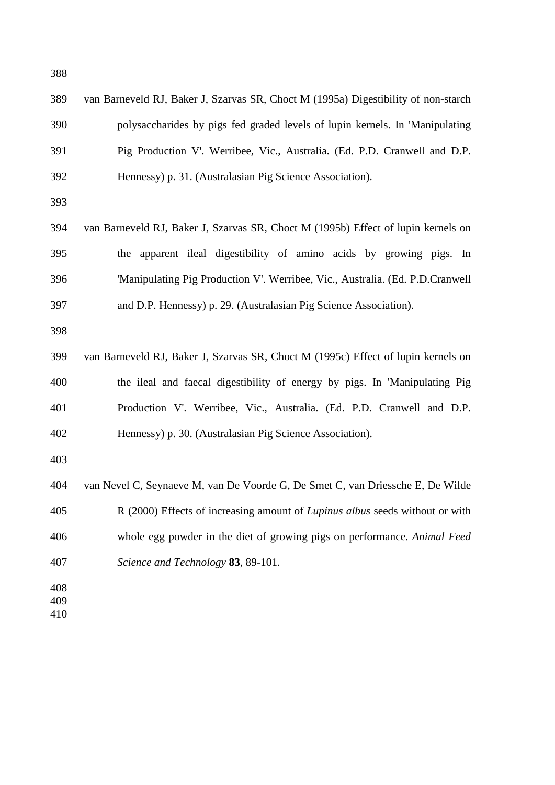| 389 | van Barneveld RJ, Baker J, Szarvas SR, Choct M (1995a) Digestibility of non-starch |
|-----|------------------------------------------------------------------------------------|
| 390 | polysaccharides by pigs fed graded levels of lupin kernels. In 'Manipulating       |
| 391 | Pig Production V'. Werribee, Vic., Australia. (Ed. P.D. Cranwell and D.P.          |
| 392 | Hennessy) p. 31. (Australasian Pig Science Association).                           |
| 393 |                                                                                    |
| 394 | van Barneveld RJ, Baker J, Szarvas SR, Choct M (1995b) Effect of lupin kernels on  |
| 395 | the apparent ileal digestibility of amino acids by growing pigs. In                |
| 396 | 'Manipulating Pig Production V'. Werribee, Vic., Australia. (Ed. P.D.Cranwell)     |
| 397 | and D.P. Hennessy) p. 29. (Australasian Pig Science Association).                  |
| 398 |                                                                                    |
| 399 | van Barneveld RJ, Baker J, Szarvas SR, Choct M (1995c) Effect of lupin kernels on  |
| 400 | the ileal and faecal digestibility of energy by pigs. In 'Manipulating Pig         |
| 401 | Production V'. Werribee, Vic., Australia. (Ed. P.D. Cranwell and D.P.              |
| 402 | Hennessy) p. 30. (Australasian Pig Science Association).                           |
| 403 |                                                                                    |
| 404 | van Nevel C, Seynaeve M, van De Voorde G, De Smet C, van Driessche E, De Wilde     |
| 405 | R (2000) Effects of increasing amount of Lupinus albus seeds without or with       |
| 406 | whole egg powder in the diet of growing pigs on performance. Animal Feed           |
| 407 | Science and Technology 83, 89-101.                                                 |
| 408 |                                                                                    |
| 409 |                                                                                    |
| 410 |                                                                                    |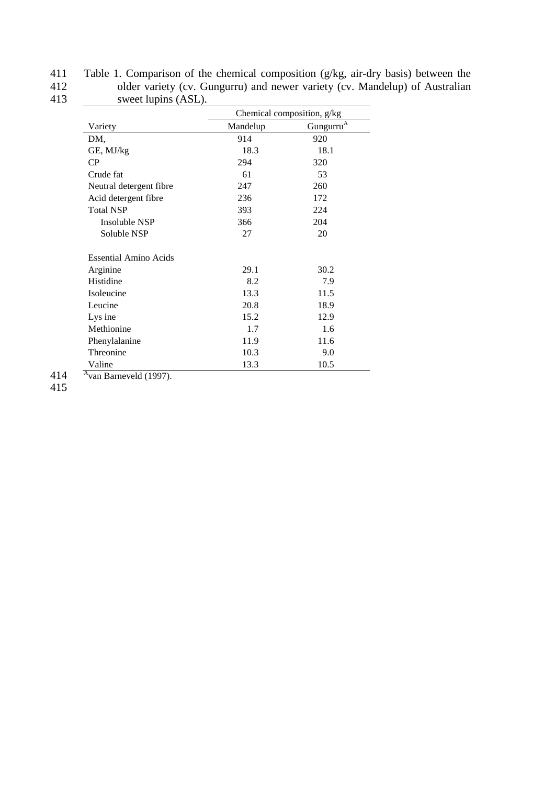| 411 | Table 1. Comparison of the chemical composition $(g/kg, air-dry basis)$ between the |
|-----|-------------------------------------------------------------------------------------|
| 412 | older variety (cv. Gungurru) and newer variety (cv. Mandelup) of Australian         |
| 413 | sweet lupins (ASL).                                                                 |

|                         |          | Chemical composition, g/kg |
|-------------------------|----------|----------------------------|
| Variety                 | Mandelup | Gungurru <sup>A</sup>      |
| DM,                     | 914      | 920                        |
| GE, MJ/kg               | 18.3     | 18.1                       |
| CP                      | 294      | 320                        |
| Crude fat               | 61       | 53                         |
| Neutral detergent fibre | 247      | 260                        |
| Acid detergent fibre    | 236      | 172                        |
| <b>Total NSP</b>        | 393      | 224                        |
| Insoluble NSP           | 366      | 204                        |
| Soluble NSP             | 27       | 20                         |
| Essential Amino Acids   |          |                            |
| Arginine                | 29.1     | 30.2                       |
| Histidine               | 8.2      | 7.9                        |
| Isoleucine              | 13.3     | 11.5                       |
| Leucine                 | 20.8     | 18.9                       |
| Lys ine                 | 15.2     | 12.9                       |
| Methionine              | 1.7      | 1.6                        |
| Phenylalanine           | 11.9     | 11.6                       |
| Threonine               | 10.3     | 9.0                        |
| Valine                  | 13.3     | 10.5                       |

414  $\overline{\text{A}^{\text{van Barne}$  van Barneveld (1997).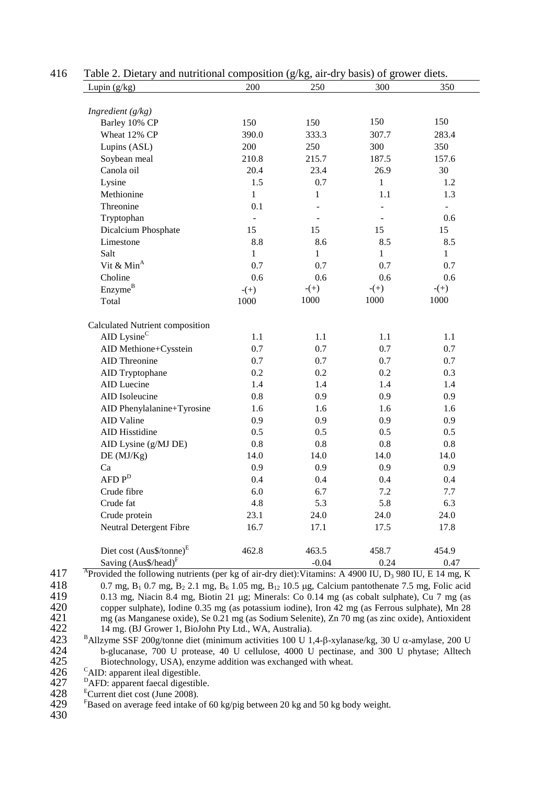| Lupin $(g/kg)$                       | 200                          | 250            | 300            | 350            |
|--------------------------------------|------------------------------|----------------|----------------|----------------|
|                                      |                              |                |                |                |
| Ingredient $(g/kg)$                  | 150                          |                | 150            | 150            |
| Barley 10% CP                        |                              | 150<br>333.3   |                |                |
| Wheat 12% CP                         | 390.0<br>200                 |                | 307.7          | 283.4          |
| Lupins (ASL)                         |                              | 250            | 300            | 350            |
| Soybean meal                         | 210.8<br>20.4                | 215.7          | 187.5          | 157.6          |
| Canola oil                           |                              | 23.4           | 26.9           | 30             |
| Lysine<br>Methionine                 | 1.5                          | 0.7            | $\mathbf{1}$   | 1.2            |
|                                      | $\mathbf{1}$                 | 1              | 1.1            | 1.3            |
| Threonine                            | 0.1                          |                |                |                |
| Tryptophan                           | $\qquad \qquad \blacksquare$ |                |                | 0.6            |
| Dicalcium Phosphate                  | 15                           | 15             | 15             | 15             |
| Limestone                            | 8.8                          | 8.6            | 8.5            | 8.5            |
| Salt                                 | $\mathbf{1}$                 | 1              | 1              | $\mathbf{1}$   |
| Vit & $MinA$                         | 0.7                          | 0.7            | 0.7            | 0.7            |
| Choline                              | 0.6                          | 0.6            | 0.6            | 0.6            |
| Enzyme <sup>B</sup><br>Total         | $-(+)$<br>1000               | $-(+)$<br>1000 | $-(+)$<br>1000 | $-(+)$<br>1000 |
| Calculated Nutrient composition      |                              |                |                |                |
| AID Lysine <sup>C</sup>              | 1.1                          | 1.1            | 1.1            | 1.1            |
| AID Methione+Cysstein                | 0.7                          | 0.7            | 0.7            | 0.7            |
| AID Threonine                        | 0.7                          | 0.7            | 0.7            | 0.7            |
| AID Tryptophane                      | 0.2                          | 0.2            | 0.2            | 0.3            |
| AID Luecine                          | 1.4                          | 1.4            | 1.4            | 1.4            |
| AID Isoleucine                       | 0.8                          | 0.9            | 0.9            | 0.9            |
| AID Phenylalanine+Tyrosine           | 1.6                          | 1.6            | 1.6            | 1.6            |
| <b>AID Valine</b>                    | 0.9                          | 0.9            | 0.9            | 0.9            |
| AID Hisstidine                       | 0.5                          | 0.5            | 0.5            | 0.5            |
| AID Lysine (g/MJ DE)                 | 0.8                          | 0.8            | 0.8            | 0.8            |
| DE(MJ/Kg)                            | 14.0                         | 14.0           | 14.0           | 14.0           |
| Ca                                   | 0.9                          | 0.9            | 0.9            | 0.9            |
| $AFD P^D$                            | 0.4                          | 0.4            | 0.4            | 0.4            |
| Crude fibre                          | 6.0                          | 6.7            | 7.2            | 7.7            |
| Crude fat                            | 4.8                          | 5.3            | 5.8            | 6.3            |
| Crude protein                        | 23.1                         | 24.0           | 24.0           | 24.0           |
| Neutral Detergent Fibre              | 16.7                         | 17.1           | 17.5           | 17.8           |
| Diet cost (Aus\$/tonne) <sup>E</sup> | 462.8                        | 463.5          | 458.7          | 454.9          |
| Saving $(Aus\$ /head) <sup>F</sup>   |                              | $-0.04$        | 0.24           | 0.47           |

| 416 |  | Table 2. Dietary and nutritional composition (g/kg, air-dry basis) of grower diets. |  |  |
|-----|--|-------------------------------------------------------------------------------------|--|--|
|-----|--|-------------------------------------------------------------------------------------|--|--|

 $417$  <sup>A</sup> Provided the following nutrients (per kg of air-dry diet): Vitamins: A 4900 IU, D<sub>3</sub> 980 IU, E 14 mg, K 418 0.7 mg,  $B_1$  0.7 mg,  $B_2$  2.1 mg,  $B_6$  1.05 mg,  $B_{12}$  10.5 µg, Calcium pantothenate 7.5 mg, Folic acid 419 0.13 mg, Niacin 8.4 mg, Biotin 21 µg; Minerals: Co 0.14 mg (as cobalt sulphate), Cu 7 mg (as 420 copper sulphate), Iodine 0.35 mg (as potassium iodine), Iron 42 mg (as Ferrous sulphate), Mn 28 420 copper sulphate), Iodine 0.35 mg (as potassium iodine), Iron 42 mg (as Ferrous sulphate), Mn 28 mg (as Manganese oxide), Se 0.21 mg (as Sodium Selenite), Zn 70 mg (as zinc oxide), Antioxident 422 14 mg. (BJ Grower 1, B 421 mg (as Manganese oxide), Se 0.21 mg (as Sodium Selenite), Zn 70 mg (as zinc oxide), Antioxident 422 14 mg. (BJ Grower 1, BioJohn Pty Ltd., WA, Australia).<br>423 <sup>B</sup>Allzyme SSF 200g/tonne diet (minimum activities 100 U 1)

 $B$  423 B 41 B 41 B 424 B 41 B 424 B 424 B 424 B 424 B 424 B 424 B 424 B 424 B 424 B 424 B 424 B 424 B 424 B 424 B 424 B 424 B 424 B 424 B 424 B 424 B 424 B 424 B 424 B 424 B 424 B 424 B 424 B 425 426 426 426 426 426 426 424 b-glucanase, 700 U protease, 40 U cellulose, 4000 U pectinase, and 300 U phytase; Alltech 425 Biotechnology, USA), enzyme addition was exchanged with wheat.

CAID: apparent ileal digestible.<br>
<sup>D</sup>AFD: apparent faecal digestible.<br>
<sup>E</sup>Current diet cost (June 2008).<br>
FBased on average feed intake of 60 kg/pig between 20 kg and 50 kg body weight.

 $426$ <br> $427$ <br> $428$ <br> $429$ <br> $430$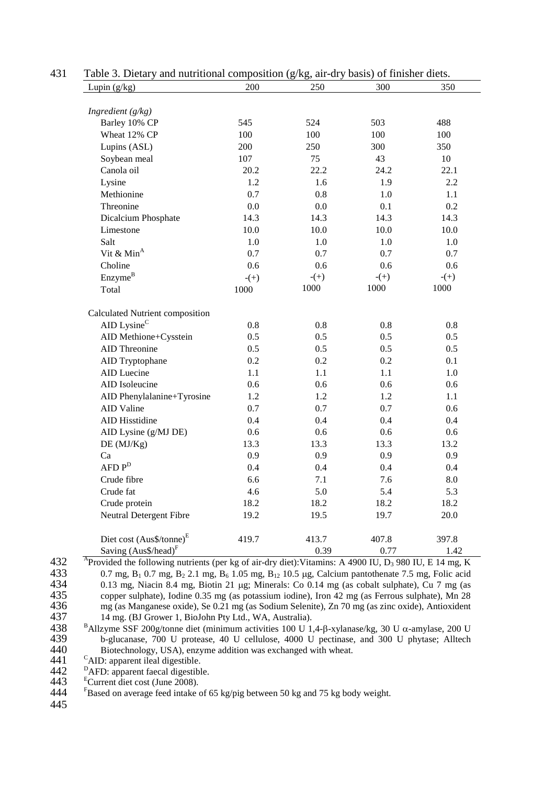| Lupin $(g/kg)$                           | 200    | 250     | 300    | 350     |
|------------------------------------------|--------|---------|--------|---------|
|                                          |        |         |        |         |
| Ingredient $(g/kg)$                      |        |         |        |         |
| Barley 10% CP                            | 545    | 524     | 503    | 488     |
| Wheat 12% CP                             | 100    | 100     | 100    | 100     |
| Lupins (ASL)                             | 200    | 250     | 300    | 350     |
| Soybean meal                             | 107    | 75      | 43     | 10      |
| Canola oil                               | 20.2   | 22.2    | 24.2   | 22.1    |
| Lysine                                   | 1.2    | 1.6     | 1.9    | 2.2     |
| Methionine                               | 0.7    | $0.8\,$ | 1.0    | 1.1     |
| Threonine                                | 0.0    | 0.0     | 0.1    | 0.2     |
| Dicalcium Phosphate                      | 14.3   | 14.3    | 14.3   | 14.3    |
| Limestone                                | 10.0   | 10.0    | 10.0   | 10.0    |
| Salt                                     | 1.0    | 1.0     | 1.0    | 1.0     |
| Vit & $MinA$                             | 0.7    | 0.7     | 0.7    | 0.7     |
| Choline                                  | 0.6    | 0.6     | 0.6    | 0.6     |
| Enzyme <sup>B</sup>                      | $-(+)$ | $-(+)$  | $-(+)$ | $- (+)$ |
| Total                                    | 1000   | 1000    | 1000   | 1000    |
| Calculated Nutrient composition          |        |         |        |         |
| AID Lysine $C$                           | 0.8    | 0.8     | 0.8    | 0.8     |
| AID Methione+Cysstein                    | 0.5    | 0.5     | 0.5    | 0.5     |
| <b>AID</b> Threonine                     | 0.5    | 0.5     | 0.5    | 0.5     |
| AID Tryptophane                          | 0.2    | 0.2     | 0.2    | 0.1     |
| AID Luecine                              | 1.1    | 1.1     | 1.1    | 1.0     |
| AID Isoleucine                           | 0.6    | 0.6     | 0.6    | 0.6     |
| AID Phenylalanine+Tyrosine               | 1.2    | 1.2     | 1.2    | 1.1     |
| <b>AID Valine</b>                        | 0.7    | 0.7     | 0.7    | 0.6     |
| AID Hisstidine                           | 0.4    | 0.4     | 0.4    | 0.4     |
| AID Lysine (g/MJ DE)                     | 0.6    | 0.6     | 0.6    | 0.6     |
| DE (MJ/Kg)                               | 13.3   | 13.3    | 13.3   | 13.2    |
| Ca                                       | 0.9    | 0.9     | 0.9    | 0.9     |
| $AFD P^D$                                | 0.4    | 0.4     | 0.4    | 0.4     |
| Crude fibre                              | 6.6    | 7.1     | 7.6    | 8.0     |
| Crude fat                                | 4.6    | 5.0     | 5.4    | 5.3     |
|                                          | 18.2   | 18.2    | 18.2   | 18.2    |
|                                          |        |         | 19.7   | 20.0    |
| Crude protein<br>Neutral Detergent Fibre | 19.2   | 19.5    |        |         |
| Diet cost (Aus\$/tonne) <sup>E</sup>     | 419.7  | 413.7   | 407.8  | 397.8   |

431 Table 3. Dietary and nutritional composition (g/kg, air-dry basis) of finisher diets.

433 0.7 mg,  $B_1$  0.7 mg,  $B_2$  2.1 mg,  $B_6$  1.05 mg,  $B_{12}$  10.5 µg, Calcium pantothenate 7.5 mg, Folic acid 434 0.13 mg, Niacin 8.4 mg, Biotin 21 µg; Minerals: Co 0.14 mg (as cobalt sulphate), Cu 7 mg (as 434 0.13 mg, Niacin 8.4 mg, Biotin 21 µg; Minerals: Co 0.14 mg (as cobalt sulphate), Cu 7 mg (as 435 copper sulphate), Iodine 0.35 mg (as potassium iodine), Iron 42 mg (as Ferrous sulphate), Mn 28<br>436 mg (as Manganese oxide), Se 0.21 mg (as Sodium Selenite), Zn 70 mg (as zinc oxide), Antioxident 436 mg (as Manganese oxide), Se 0.21 mg (as Sodium Selenite), Zn 70 mg (as zinc oxide), Antioxident 437 14 mg. (BJ Grower 1, BioJohn Pty Ltd., WA, Australia). 437 14 mg. (BJ Grower 1, BioJohn Pty Ltd., WA, Australia).<br>438 <sup>B</sup>Allzyme SSF 200g/tonne diet (minimum activities 100 U 1)

438 BAllzyme SSF 200g/tonne diet (minimum activities 100 U 1,4-β-xylanase/kg, 30 U α-amylase, 200 U 439 b-glucanase, 700 U protease, 40 U cellulose, 4000 U pectinase, and 300 U phytase; Alltech Biotechnology, USA), enzym b-glucanase, 700 U protease, 40 U cellulose, 4000 U pectinase, and 300 U phytase; Alltech Biotechnology, USA), enzyme addition was exchanged with wheat.

441 <sup>C</sup>AID: apparent ileal digestible.<br>442 <sup>P</sup>AFD: apparent faecal digestible.<br>443 <sup>E</sup>Current diet cost (June 2008).<br>444 <sup>F</sup>Based on average feed intake of 65 kg/pig between 50 kg and 75 kg body weight.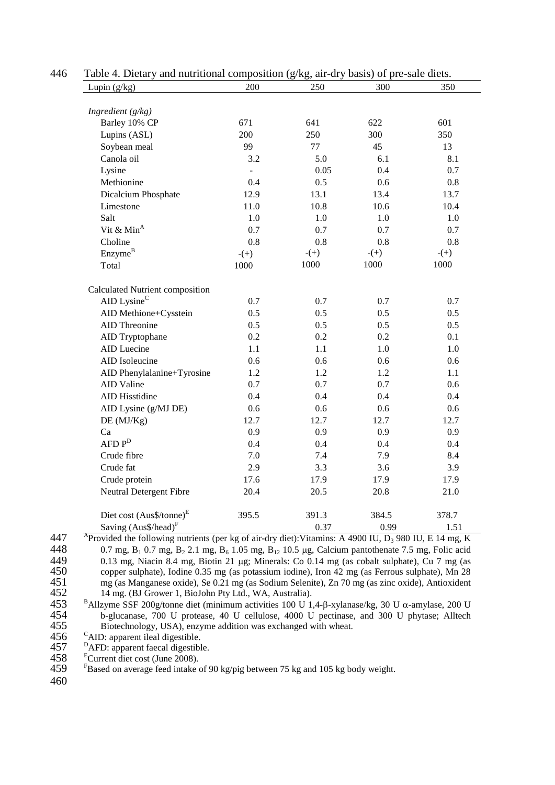| Lupin $(g/kg)$                       | 200            | 250    | 300    | 350     |
|--------------------------------------|----------------|--------|--------|---------|
| Ingredient $(g/kg)$                  |                |        |        |         |
| Barley 10% CP                        | 671            | 641    | 622    | 601     |
| Lupins (ASL)                         | 200            | 250    | 300    | 350     |
| Soybean meal                         | 99             | 77     | 45     | 13      |
| Canola oil                           | 3.2            | 5.0    | 6.1    | 8.1     |
| Lysine                               | $\overline{a}$ | 0.05   | 0.4    | 0.7     |
| Methionine                           | 0.4            | 0.5    | 0.6    | $0.8\,$ |
| Dicalcium Phosphate                  | 12.9           | 13.1   | 13.4   | 13.7    |
| Limestone                            | 11.0           | 10.8   | 10.6   | 10.4    |
| Salt                                 | 1.0            | 1.0    | 1.0    | 1.0     |
| Vit & Min <sup>A</sup>               | 0.7            | 0.7    | 0.7    | 0.7     |
| Choline                              | 0.8            | 0.8    | 0.8    | 0.8     |
| Enzyme <sup>B</sup>                  | $- (+)$        | $-(+)$ | $-(+)$ | $-(+)$  |
| Total                                | 1000           | 1000   | 1000   | 1000    |
|                                      |                |        |        |         |
| Calculated Nutrient composition      |                |        |        |         |
| AID Lysine <sup>C</sup>              | 0.7            | 0.7    | 0.7    | 0.7     |
| AID Methione+Cysstein                | 0.5            | 0.5    | 0.5    | 0.5     |
| AID Threonine                        | 0.5            | 0.5    | 0.5    | 0.5     |
| AID Tryptophane                      | 0.2            | 0.2    | 0.2    | 0.1     |
| AID Luecine                          | 1.1            | 1.1    | 1.0    | 1.0     |
| AID Isoleucine                       | 0.6            | 0.6    | 0.6    | 0.6     |
| AID Phenylalanine+Tyrosine           | 1.2            | 1.2    | 1.2    | 1.1     |
| AID Valine                           | 0.7            | 0.7    | 0.7    | 0.6     |
| <b>AID Hisstidine</b>                | 0.4            | 0.4    | 0.4    | 0.4     |
| AID Lysine (g/MJ DE)                 | 0.6            | 0.6    | 0.6    | 0.6     |
| DE (MJ/Kg)                           | 12.7           | 12.7   | 12.7   | 12.7    |
| Ca                                   | 0.9            | 0.9    | 0.9    | 0.9     |
| $AFD P^D$                            | 0.4            | 0.4    | 0.4    | 0.4     |
| Crude fibre                          | 7.0            | 7.4    | 7.9    | 8.4     |
| Crude fat                            | 2.9            | 3.3    | 3.6    | 3.9     |
| Crude protein                        | 17.6           | 17.9   | 17.9   | 17.9    |
| Neutral Detergent Fibre              | 20.4           | 20.5   | 20.8   | 21.0    |
| Diet cost (Aus\$/tonne) <sup>E</sup> | 395.5          | 391.3  | 384.5  | 378.7   |
| Saving $(Aus\$ /head) <sup>F</sup>   |                | 0.37   | 0.99   | 1.51    |

#### 446 Table 4. Dietary and nutritional composition (g/kg, air-dry basis) of pre-sale diets.

<sup>447</sup> Provided the following nutrients (per kg of air-dry diet): Vitamins: A 4900 IU, D<sub>3</sub> 980 IU, E 14 mg, K<br>448 0.7 mg, B<sub>1</sub> 0.7 mg, B<sub>2</sub> 2.1 mg, B<sub>4</sub> 1.05 mg, B<sub>12</sub> 10.5 µg, Calcium pantothenate 7.5 mg, Folic acid 448 0.7 mg,  $B_1$  0.7 mg,  $B_2$  2.1 mg,  $B_6$  1.05 mg,  $B_{12}$  10.5 µg, Calcium pantothenate 7.5 mg, Folic acid 449 0.13 mg, Niacin 8.4 mg, Biotin 21 µg; Minerals: Co 0.14 mg (as cobalt sulphate), Cu 7 mg (as 449 0.13 mg, Niacin 8.4 mg, Biotin 21 µg; Minerals: Co 0.14 mg (as cobalt sulphate), Cu 7 mg (as 450 copper sulphate), Iodine 0.35 mg (as potassium iodine), Iron 42 mg (as Ferrous sulphate), Mn 28<br>451 mg (as Manganese oxide), Se 0.21 mg (as Sodium Selenite), Zn 70 mg (as zinc oxide), Antioxident 451 mg (as Manganese oxide), Se 0.21 mg (as Sodium Selenite), Zn 70 mg (as zinc oxide), Antioxident

14 mg. (BJ Grower 1, BioJohn Pty Ltd., WA, Australia).<br>
453 B Allzyme SSF 200g/tonne diet (minimum activities 100 U 1,4-β-xylanase/kg, 30 U α-amylase, 200 U 454 b-glucanase, 700 U protease, 40 U cellulose, 4000 U pectina 454 b-glucanase, 700 U protease, 40 U cellulose, 4000 U pectinase, and 300 U phytase; Alltech

456 <sup>C</sup>AID: apparent ileal digestible.<br>457 <sup>D</sup>AFD: apparent faecal digestible.<br>458 <sup>E</sup>Current diet cost (June 2008).<br>459 <sup>E</sup>Based on average feed intake of 90 kg/pig between 75 kg and 105 kg body weight.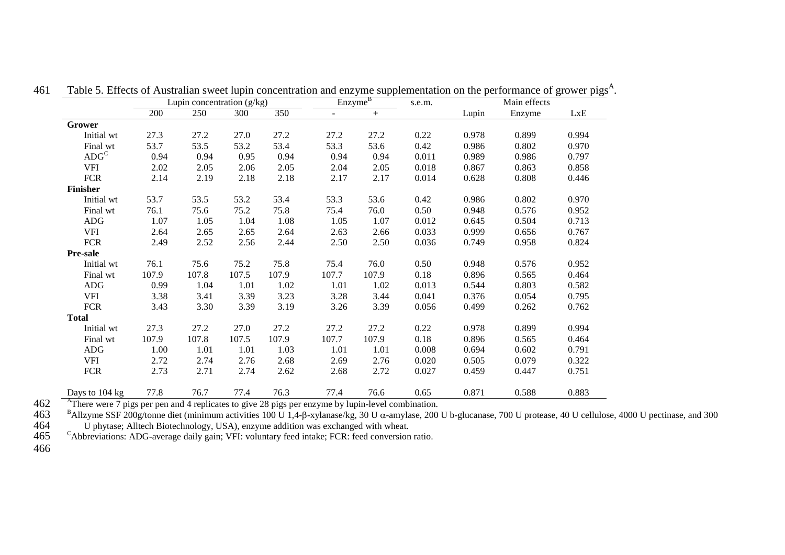|                         | Lupin concentration $(g/kg)$ |       |       | Enzyme <sup>B</sup> |                |       | Main effects |       |        |       |
|-------------------------|------------------------------|-------|-------|---------------------|----------------|-------|--------------|-------|--------|-------|
|                         | 200                          | 250   | 300   | 350                 | $\overline{a}$ | $+$   |              | Lupin | Enzyme | LxE   |
| Grower                  |                              |       |       |                     |                |       |              |       |        |       |
| Initial wt              | 27.3                         | 27.2  | 27.0  | 27.2                | 27.2           | 27.2  | 0.22         | 0.978 | 0.899  | 0.994 |
| Final wt                | 53.7                         | 53.5  | 53.2  | 53.4                | 53.3           | 53.6  | 0.42         | 0.986 | 0.802  | 0.970 |
| $\text{ADG}^{\text{C}}$ | 0.94                         | 0.94  | 0.95  | 0.94                | 0.94           | 0.94  | 0.011        | 0.989 | 0.986  | 0.797 |
| <b>VFI</b>              | 2.02                         | 2.05  | 2.06  | 2.05                | 2.04           | 2.05  | 0.018        | 0.867 | 0.863  | 0.858 |
| <b>FCR</b>              | 2.14                         | 2.19  | 2.18  | 2.18                | 2.17           | 2.17  | 0.014        | 0.628 | 0.808  | 0.446 |
| <b>Finisher</b>         |                              |       |       |                     |                |       |              |       |        |       |
| Initial wt              | 53.7                         | 53.5  | 53.2  | 53.4                | 53.3           | 53.6  | 0.42         | 0.986 | 0.802  | 0.970 |
| Final wt                | 76.1                         | 75.6  | 75.2  | 75.8                | 75.4           | 76.0  | 0.50         | 0.948 | 0.576  | 0.952 |
| <b>ADG</b>              | 1.07                         | 1.05  | 1.04  | 1.08                | 1.05           | 1.07  | 0.012        | 0.645 | 0.504  | 0.713 |
| <b>VFI</b>              | 2.64                         | 2.65  | 2.65  | 2.64                | 2.63           | 2.66  | 0.033        | 0.999 | 0.656  | 0.767 |
| <b>FCR</b>              | 2.49                         | 2.52  | 2.56  | 2.44                | 2.50           | 2.50  | 0.036        | 0.749 | 0.958  | 0.824 |
| <b>Pre-sale</b>         |                              |       |       |                     |                |       |              |       |        |       |
| Initial wt              | 76.1                         | 75.6  | 75.2  | 75.8                | 75.4           | 76.0  | 0.50         | 0.948 | 0.576  | 0.952 |
| Final wt                | 107.9                        | 107.8 | 107.5 | 107.9               | 107.7          | 107.9 | 0.18         | 0.896 | 0.565  | 0.464 |
| <b>ADG</b>              | 0.99                         | 1.04  | 1.01  | 1.02                | 1.01           | 1.02  | 0.013        | 0.544 | 0.803  | 0.582 |
| <b>VFI</b>              | 3.38                         | 3.41  | 3.39  | 3.23                | 3.28           | 3.44  | 0.041        | 0.376 | 0.054  | 0.795 |
| <b>FCR</b>              | 3.43                         | 3.30  | 3.39  | 3.19                | 3.26           | 3.39  | 0.056        | 0.499 | 0.262  | 0.762 |
| <b>Total</b>            |                              |       |       |                     |                |       |              |       |        |       |
| Initial wt              | 27.3                         | 27.2  | 27.0  | 27.2                | 27.2           | 27.2  | 0.22         | 0.978 | 0.899  | 0.994 |
| Final wt                | 107.9                        | 107.8 | 107.5 | 107.9               | 107.7          | 107.9 | 0.18         | 0.896 | 0.565  | 0.464 |
| <b>ADG</b>              | 1.00                         | 1.01  | 1.01  | 1.03                | 1.01           | 1.01  | 0.008        | 0.694 | 0.602  | 0.791 |
| <b>VFI</b>              | 2.72                         | 2.74  | 2.76  | 2.68                | 2.69           | 2.76  | 0.020        | 0.505 | 0.079  | 0.322 |
| <b>FCR</b>              | 2.73                         | 2.71  | 2.74  | 2.62                | 2.68           | 2.72  | 0.027        | 0.459 | 0.447  | 0.751 |
| Days to 104 kg          | 77.8                         | 76.7  | 77.4  | 76.3                | 77.4           | 76.6  | 0.65         | 0.871 | 0.588  | 0.883 |

461 Table 5. Effects of Australian sweet lupin concentration and enzyme supplementation on the performance of grower pigs<sup>A</sup>.

<sup>462</sup> <sup>A</sup>There were 7 pigs per pen and 4 replicates to give 28 pigs per enzyme by lupin-level combination.<br><sup>B</sup>Allzyme SSF 200g/tonne diet (minimum activities 100 U 1,4-β-xylanase/kg, 30 U α-amylase, 200 U b-glucanase, 700

 $465$  <sup>C</sup>Abbreviations: ADG-average daily gain; VFI: voluntary feed intake; FCR: feed conversion ratio.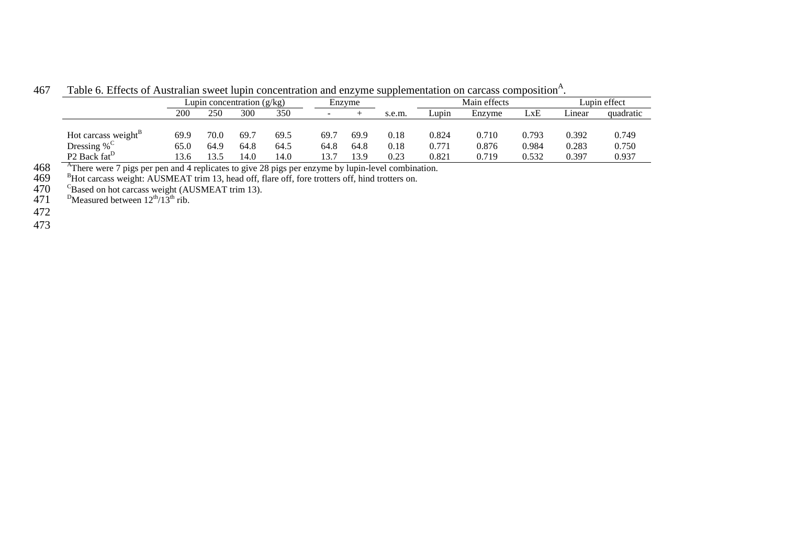|                                      |      | Lupin concentration (g/kg) |      |      |        | Enzvme |        | Main effects |        |       | Lupin effect |           |
|--------------------------------------|------|----------------------------|------|------|--------|--------|--------|--------------|--------|-------|--------------|-----------|
|                                      | 200  | 250                        | 300  | 350  | $\sim$ |        | s.e.m. | Lupin        | Enzyme | LXE   | Linear       | quadratic |
| Hot carcass weight <sup>B</sup>      | 69.9 | 70.0                       | 69.7 | 69.5 | 69.´   | 69.9   | 0.18   | 0.824        | 0.710  | 0.793 | 0.392        | 0.749     |
| Dressing % $\mathrm{C}$              | 65.0 | 64.9                       | 64.8 | 64.5 | 64.8   | 64.8   | 0.18   | 0.771        | 0.876  | 0.984 | 0.283        | 0.750     |
| P <sub>2</sub> Back fat <sup>D</sup> | 13.6 | 13.5                       | 14.0 | 14.0 | 13.7   | 13.9   | 0.23   | 0.821        | 0.719  | 0.532 | 0.397        | 0.937     |

467 Table 6. Effects of Australian sweet lupin concentration and enzyme supplementation on carcass composition<sup>A</sup>.

<sup>468</sup> <sup>A</sup>There were 7 pigs per pen and 4 replicates to give 28 pigs per enzyme by lupin-level combination.<br>469 <sup>B</sup>Hot carcass weight: AUSMEAT trim 13, head off, flare off, fore trotters off, hind trotters on.<br>470 <sup>C</sup>Based

472